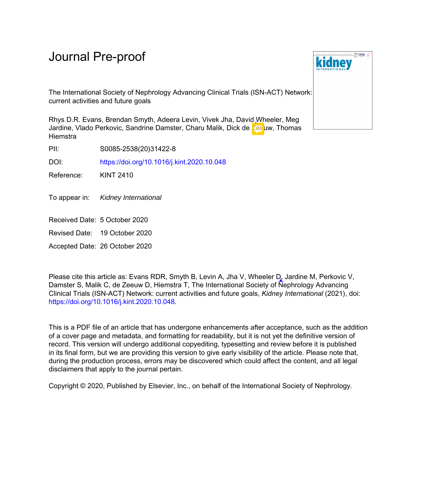# Journal Pre-proof

The International Society of Nephrology Advancing Clinical Trials (ISN-ACT) Network: current activities and future goals

Rhys D.R. Evans, Brendan Smyth, Adeera Levin, Vivek Jha, David Wheeler, Meg Jardine, Vlado Perkovic, Sandrine Damster, Charu Malik, Dick de Zeeuw, Thomas **Hiemstra** 

PII: S0085-2538(20)31422-8

DOI: <https://doi.org/10.1016/j.kint.2020.10.048>

Reference: KINT 2410

To appear in: Kidney International

Received Date: 5 October 2020

Revised Date: 19 October 2020

Accepted Date: 26 October 2020

Please cite this article as: Evans RDR, Smyth B, Levin A, Jha V, Wheeler D, Jardine M, Perkovic V, Damster S, Malik C, de Zeeuw D, Hiemstra T, The International Society of Nephrology Advancing Clinical Trials (ISN-ACT) Network: current activities and future goals, *Kidney International* (2021), doi: <https://doi.org/10.1016/j.kint.2020.10.048>.

This is a PDF file of an article that has undergone enhancements after acceptance, such as the addition of a cover page and metadata, and formatting for readability, but it is not yet the definitive version of record. This version will undergo additional copyediting, typesetting and review before it is published in its final form, but we are providing this version to give early visibility of the article. Please note that, during the production process, errors may be discovered which could affect the content, and all legal disclaimers that apply to the journal pertain.

Copyright © 2020, Published by Elsevier, Inc., on behalf of the International Society of Nephrology.

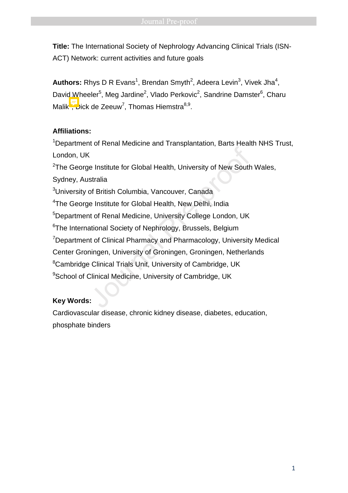**Title:** The International Society of Nephrology Advancing Clinical Trials (ISN-ACT) Network: current activities and future goals

Authors: Rhys D R Evans<sup>1</sup>, Brendan Smyth<sup>2</sup>, Adeera Levin<sup>3</sup>, Vivek Jha<sup>4</sup>, David Wheeler<sup>5</sup>, Meg Jardine<sup>2</sup>, Vlado Perkovic<sup>2</sup>, Sandrine Damster<sup>6</sup>, Charu Malik, Dick de Zeeuw<sup>7</sup>, Thomas Hiemstra<sup>8,9</sup>.

## **Affiliations:**

<sup>1</sup>Department of Renal Medicine and Transplantation, Barts Health NHS Trust, London, UK

 $2$ The George Institute for Global Health, University of New South Wales,

Sydney, Australia

<sup>3</sup>University of British Columbia, Vancouver, Canada

<sup>4</sup>The George Institute for Global Health, New Delhi, India

<sup>5</sup>Department of Renal Medicine, University College London, UK

<sup>6</sup>The International Society of Nephrology, Brussels, Belgium

<sup>7</sup>Department of Clinical Pharmacy and Pharmacology, University Medical Center Groningen, University of Groningen, Groningen, Netherlands <sup>8</sup>Cambridge Clinical Trials Unit, University of Cambridge, UK Constitute for Global Health, University of New South<br>Stralia<br>Stralia<br>The British Columbia, Vancouver, Canada<br>The Institute for Global Health, New Delhi, India<br>The Institute for Global Health, New Delhi, India<br>Intert of Re

<sup>9</sup>School of Clinical Medicine, University of Cambridge, UK

### **Key Words:**

Cardiovascular disease, chronic kidney disease, diabetes, education, phosphate binders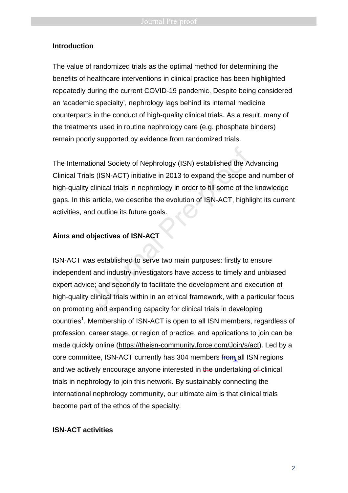#### **Introduction**

The value of randomized trials as the optimal method for determining the benefits of healthcare interventions in clinical practice has been highlighted repeatedly during the current COVID-19 pandemic. Despite being considered an 'academic specialty', nephrology lags behind its internal medicine counterparts in the conduct of high-quality clinical trials. As a result, many of the treatments used in routine nephrology care (e.g. phosphate binders) remain poorly supported by evidence from randomized trials.

The International Society of Nephrology (ISN) established the Advancing Clinical Trials (ISN-ACT) initiative in 2013 to expand the scope and number of high-quality clinical trials in nephrology in order to fill some of the knowledge gaps. In this article, we describe the evolution of ISN-ACT, highlight its current activities, and outline its future goals. tional Society of Nephrology (ISN) established the Ad<br>
Ils (ISN-ACT) initiative in 2013 to expand the scope a<br>
clinical trials in nephrology in order to fill some of the<br>
s article, we describe the evolution of ISN-ACT, hi

#### **Aims and objectives of ISN-ACT**

ISN-ACT was established to serve two main purposes: firstly to ensure independent and industry investigators have access to timely and unbiased expert advice; and secondly to facilitate the development and execution of high-quality clinical trials within in an ethical framework, with a particular focus on promoting and expanding capacity for clinical trials in developing countries<sup>1</sup>. Membership of ISN-ACT is open to all ISN members, regardless of profession, career stage, or region of practice, and applications to join can be made quickly online (https://theisn-community.force.com/Join/s/act). Led by a core committee, ISN-ACT currently has 304 members from all ISN regions and we actively encourage anyone interested in the undertaking of clinical trials in nephrology to join this network. By sustainably connecting the international nephrology community, our ultimate aim is that clinical trials become part of the ethos of the specialty.

#### **ISN-ACT activities**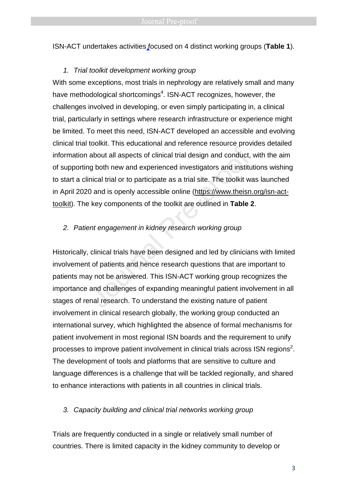ISN-ACT undertakes activities focused on 4 distinct working groups (**Table 1**).

#### 1. Trial toolkit development working group

With some exceptions, most trials in nephrology are relatively small and many have methodological shortcomings<sup>4</sup>. ISN-ACT recognizes, however, the challenges involved in developing, or even simply participating in, a clinical trial, particularly in settings where research infrastructure or experience might be limited. To meet this need, ISN-ACT developed an accessible and evolving clinical trial toolkit. This educational and reference resource provides detailed information about all aspects of clinical trial design and conduct, with the aim of supporting both new and experienced investigators and institutions wishing to start a clinical trial or to participate as a trial site. The toolkit was launched in April 2020 and is openly accessible online (https://www.theisn.org/isn-acttoolkit). The key components of the toolkit are outlined in **Table 2**. Fremmental entertainmental entertainmental pre-<br>about all aspects of clinical trial design and conduct,<br>g both new and experienced investigators and institu-<br>nical trial or to participate as a trial site. The toolkit wo<br>0

#### 2. Patient engagement in kidney research working group

Historically, clinical trials have been designed and led by clinicians with limited involvement of patients and hence research questions that are important to patients may not be answered. This ISN-ACT working group recognizes the importance and challenges of expanding meaningful patient involvement in all stages of renal research. To understand the existing nature of patient involvement in clinical research globally, the working group conducted an international survey, which highlighted the absence of formal mechanisms for patient involvement in most regional ISN boards and the requirement to unify processes to improve patient involvement in clinical trials across ISN regions<sup>2</sup>. The development of tools and platforms that are sensitive to culture and language differences is a challenge that will be tackled regionally, and shared to enhance interactions with patients in all countries in clinical trials.

#### 3. Capacity building and clinical trial networks working group

Trials are frequently conducted in a single or relatively small number of countries. There is limited capacity in the kidney community to develop or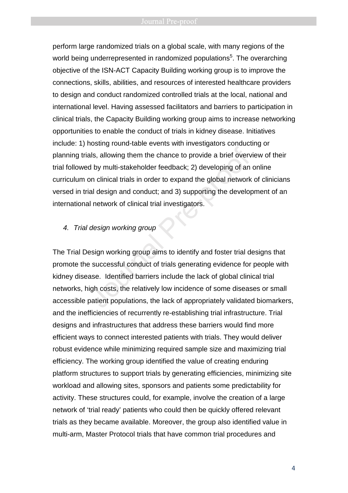perform large randomized trials on a global scale, with many regions of the world being underrepresented in randomized populations<sup>5</sup>. The overarching objective of the ISN-ACT Capacity Building working group is to improve the connections, skills, abilities, and resources of interested healthcare providers to design and conduct randomized controlled trials at the local, national and international level. Having assessed facilitators and barriers to participation in clinical trials, the Capacity Building working group aims to increase networking opportunities to enable the conduct of trials in kidney disease. Initiatives include: 1) hosting round-table events with investigators conducting or planning trials, allowing them the chance to provide a brief overview of their trial followed by multi-stakeholder feedback; 2) developing of an online curriculum on clinical trials in order to expand the global network of clinicians versed in trial design and conduct; and 3) supporting the development of an international network of clinical trial investigators. Freemay come interest in interesting materials als, allowing them the chance to provide a brief overversided by multi-stakeholder feedback; 2) developing of an on clinical trials in order to expand the global network al de

#### 4. Trial design working group

The Trial Design working group aims to identify and foster trial designs that promote the successful conduct of trials generating evidence for people with kidney disease. Identified barriers include the lack of global clinical trial networks, high costs, the relatively low incidence of some diseases or small accessible patient populations, the lack of appropriately validated biomarkers, and the inefficiencies of recurrently re-establishing trial infrastructure. Trial designs and infrastructures that address these barriers would find more efficient ways to connect interested patients with trials. They would deliver robust evidence while minimizing required sample size and maximizing trial efficiency. The working group identified the value of creating enduring platform structures to support trials by generating efficiencies, minimizing site workload and allowing sites, sponsors and patients some predictability for activity. These structures could, for example, involve the creation of a large network of 'trial ready' patients who could then be quickly offered relevant trials as they became available. Moreover, the group also identified value in multi-arm, Master Protocol trials that have common trial procedures and

4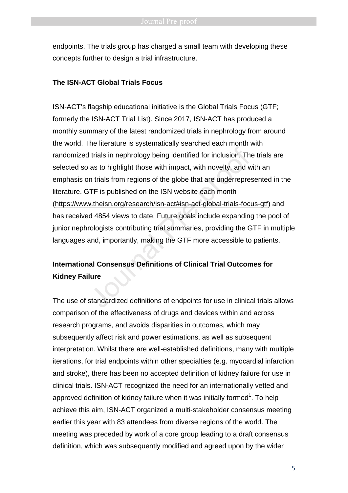endpoints. The trials group has charged a small team with developing these concepts further to design a trial infrastructure.

#### **The ISN-ACT Global Trials Focus**

ISN-ACT's flagship educational initiative is the Global Trials Focus (GTF; formerly the ISN-ACT Trial List). Since 2017, ISN-ACT has produced a monthly summary of the latest randomized trials in nephrology from around the world. The literature is systematically searched each month with randomized trials in nephrology being identified for inclusion. The trials are selected so as to highlight those with impact, with novelty, and with an emphasis on trials from regions of the globe that are underrepresented in the literature. GTF is published on the ISN website each month (https://www.theisn.org/research/isn-act#isn-act-global-trials-focus-gtf) and has received 4854 views to date. Future goals include expanding the pool of junior nephrologists contributing trial summaries, providing the GTF in multiple languages and, importantly, making the GTF more accessible to patients. Intrials in nephrology being identified for inclusion. The as to highlight those with impact, with novelty, and w<br>an trials from regions of the globe that are underrepresent TF is published on the ISN website each month<br>v.

## **International Consensus Definitions of Clinical Trial Outcomes for Kidney Failure**

The use of standardized definitions of endpoints for use in clinical trials allows comparison of the effectiveness of drugs and devices within and across research programs, and avoids disparities in outcomes, which may subsequently affect risk and power estimations, as well as subsequent interpretation. Whilst there are well-established definitions, many with multiple iterations, for trial endpoints within other specialties (e.g. myocardial infarction and stroke), there has been no accepted definition of kidney failure for use in clinical trials. ISN-ACT recognized the need for an internationally vetted and approved definition of kidney failure when it was initially formed<sup>1</sup>. To help achieve this aim, ISN-ACT organized a multi-stakeholder consensus meeting earlier this year with 83 attendees from diverse regions of the world. The meeting was preceded by work of a core group leading to a draft consensus definition, which was subsequently modified and agreed upon by the wider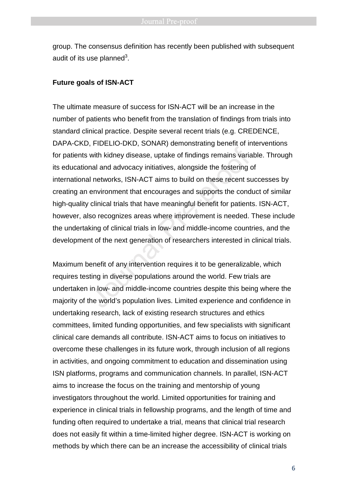group. The consensus definition has recently been published with subsequent audit of its use planned $^3$ .

#### **Future goals of ISN-ACT**

The ultimate measure of success for ISN-ACT will be an increase in the number of patients who benefit from the translation of findings from trials into standard clinical practice. Despite several recent trials (e.g. CREDENCE, DAPA-CKD, FIDELIO-DKD, SONAR) demonstrating benefit of interventions for patients with kidney disease, uptake of findings remains variable. Through its educational and advocacy initiatives, alongside the fostering of international networks, ISN-ACT aims to build on these recent successes by creating an environment that encourages and supports the conduct of similar high-quality clinical trials that have meaningful benefit for patients. ISN-ACT, however, also recognizes areas where improvement is needed. These include the undertaking of clinical trials in low- and middle-income countries, and the development of the next generation of researchers interested in clinical trials. with kidney disease, uptake of findings remains variation<br>and and advocacy initiatives, alongside the fostering of<br>and and advocacy initiatives, alongside the fostering<br>all networks, ISN-ACT aims to build on these recent s

Maximum benefit of any intervention requires it to be generalizable, which requires testing in diverse populations around the world. Few trials are undertaken in low- and middle-income countries despite this being where the majority of the world's population lives. Limited experience and confidence in undertaking research, lack of existing research structures and ethics committees, limited funding opportunities, and few specialists with significant clinical care demands all contribute. ISN-ACT aims to focus on initiatives to overcome these challenges in its future work, through inclusion of all regions in activities, and ongoing commitment to education and dissemination using ISN platforms, programs and communication channels. In parallel, ISN-ACT aims to increase the focus on the training and mentorship of young investigators throughout the world. Limited opportunities for training and experience in clinical trials in fellowship programs, and the length of time and funding often required to undertake a trial, means that clinical trial research does not easily fit within a time-limited higher degree. ISN-ACT is working on methods by which there can be an increase the accessibility of clinical trials

6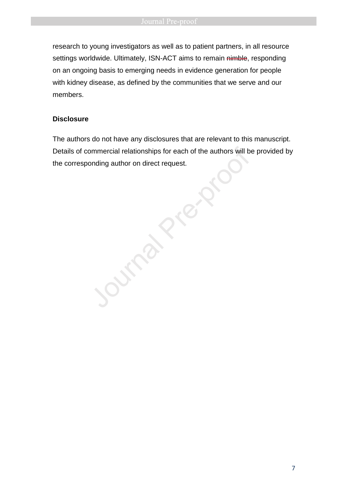research to young investigators as well as to patient partners, in all resource settings worldwide. Ultimately, ISN-ACT aims to remain nimble, responding on an ongoing basis to emerging needs in evidence generation for people with kidney disease, as defined by the communities that we serve and our members.

#### **Disclosure**

The authors do not have any disclosures that are relevant to this manuscript. Details of commercial relationships for each of the authors will be provided by the corresponding author on direct request.

**Transferre**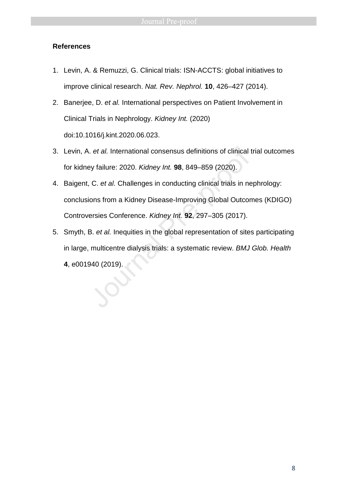#### **References**

- 1. Levin, A. & Remuzzi, G. Clinical trials: ISN-ACCTS: global initiatives to improve clinical research. Nat. Rev. Nephrol. **10**, 426–427 (2014).
- 2. Banerjee, D. et al. International perspectives on Patient Involvement in Clinical Trials in Nephrology. Kidney Int. (2020) doi:10.1016/j.kint.2020.06.023.
- 3. Levin, A. et al. International consensus definitions of clinical trial outcomes for kidney failure: 2020. Kidney Int. **98**, 849–859 (2020).
- 4. Baigent, C. et al. Challenges in conducting clinical trials in nephrology: conclusions from a Kidney Disease-Improving Global Outcomes (KDIGO) Controversies Conference. Kidney Int. **92**, 297–305 (2017). **3.** Levin, A. *et al.* International consensus definitions of clinical to the kidney failure: 2020. *Kidney Int.* **98**, 849–859 (2020).<br> **4.** Baigent, C. *et al.* Challenges in conducting clinical trials in ne conclusions
- 5. Smyth, B. et al. Inequities in the global representation of sites participating in large, multicentre dialysis trials: a systematic review. BMJ Glob. Health
	- **4**, e001940 (2019).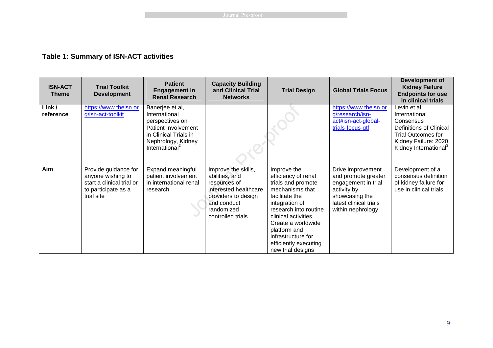### **Table 1: Summary of ISN-ACT activities**

| <b>ISN-ACT</b><br><b>Theme</b> | <b>Trial Toolkit</b><br><b>Development</b>                                                                  | <b>Patient</b><br><b>Engagement in</b><br><b>Renal Research</b>                                                                                         | <b>Capacity Building</b><br>and Clinical Trial<br><b>Networks</b>                                                                                       | <b>Trial Design</b>                                                                                                                                                                                                                                                        | <b>Global Trials Focus</b>                                                                                                                      | Development of<br><b>Kidney Failure</b><br><b>Endpoints for use</b><br>in clinical trials                                                                               |
|--------------------------------|-------------------------------------------------------------------------------------------------------------|---------------------------------------------------------------------------------------------------------------------------------------------------------|---------------------------------------------------------------------------------------------------------------------------------------------------------|----------------------------------------------------------------------------------------------------------------------------------------------------------------------------------------------------------------------------------------------------------------------------|-------------------------------------------------------------------------------------------------------------------------------------------------|-------------------------------------------------------------------------------------------------------------------------------------------------------------------------|
| Link/<br>reference             | https://www.theisn.or<br>g/isn-act-toolkit                                                                  | Banerjee et al,<br>International<br>perspectives on<br>Patient Involvement<br>in Clinical Trials in<br>Nephrology, Kidney<br>International <sup>2</sup> |                                                                                                                                                         |                                                                                                                                                                                                                                                                            | https://www.theisn.or<br>g/research/isn-<br>act#isn-act-global-<br>trials-focus-gtf                                                             | Levin et al,<br>International<br>Consensus<br><b>Definitions of Clinical</b><br><b>Trial Outcomes for</b><br>Kidney Failure: 2020,<br>Kidney International <sup>3</sup> |
| Aim                            | Provide guidance for<br>anyone wishing to<br>start a clinical trial or<br>to participate as a<br>trial site | <b>Expand meaningful</b><br>patient involvement<br>in international renal<br>research                                                                   | Improve the skills,<br>abilities, and<br>resources of<br>interested healthcare<br>providers to design<br>and conduct<br>randomized<br>controlled trials | Improve the<br>efficiency of renal<br>trials and promote<br>mechanisms that<br>facilitate the<br>integration of<br>research into routine<br>clinical activities.<br>Create a worldwide<br>platform and<br>infrastructure for<br>efficiently executing<br>new trial designs | Drive improvement<br>and promote greater<br>engagement in trial<br>activity by<br>showcasing the<br>latest clinical trials<br>within nephrology | Development of a<br>consensus definition<br>of kidney failure for<br>use in clinical trials                                                                             |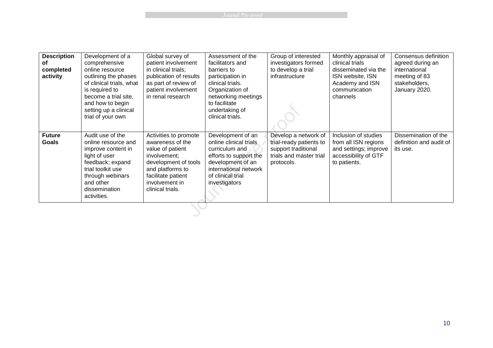**Example 2018** Journal Pre-proof

| <b>Description</b><br>оf<br>completed<br>activity | Development of a<br>comprehensive<br>online resource<br>outlining the phases<br>of clinical trials, what<br>is required to<br>become a trial site,<br>and how to begin<br>setting up a clinical<br>trial of your own | Global survey of<br>patient involvement<br>in clinical trials;<br>publication of results<br>as part of review of<br>patient involvement<br>in renal research                          | Assessment of the<br>facilitators and<br>barriers to<br>participation in<br>clinical trials.<br>Organization of<br>networking meetings<br>to facilitate<br>undertaking of<br>clinical trials. | Group of interested<br>investigators formed<br>to develop a trial<br>infrastructure                             | Monthly appraisal of<br>clinical trials<br>disseminated via the<br>ISN website, ISN<br>Academy and ISN<br>communication<br>channels | Consensus definition<br>agreed during an<br>international<br>meeting of 83<br>stakeholders,<br>January 2020. |
|---------------------------------------------------|----------------------------------------------------------------------------------------------------------------------------------------------------------------------------------------------------------------------|---------------------------------------------------------------------------------------------------------------------------------------------------------------------------------------|-----------------------------------------------------------------------------------------------------------------------------------------------------------------------------------------------|-----------------------------------------------------------------------------------------------------------------|-------------------------------------------------------------------------------------------------------------------------------------|--------------------------------------------------------------------------------------------------------------|
| <b>Future</b><br>Goals                            | Audit use of the<br>online resource and<br>improve content in<br>light of user<br>feedback; expand<br>trial toolkit use<br>through webinars<br>and other<br>dissemination<br>activities.                             | Activities to promote<br>awareness of the<br>value of patient<br>involvement;<br>development of tools<br>and platforms to<br>facilitate patient<br>involvement in<br>clinical trials. | Development of an<br>online clinical trials<br>curriculum and<br>efforts to support the<br>development of an<br>international network<br>of clinical trial<br>investigators                   | Develop a network of<br>trial-ready patients to<br>support traditional<br>trials and master trial<br>protocols. | Inclusion of studies<br>from all ISN regions<br>and settings; improve<br>accessibility of GTF<br>to patients.                       | Dissemination of the<br>definition and audit of<br>its use.                                                  |